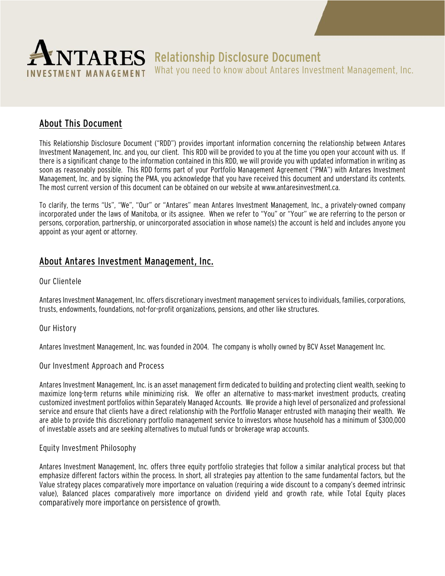

# $\textbf{PARS}$  Relationship Disclosure Document

What you need to know about Antares Investment Management, Inc.

# About This Document

This Relationship Disclosure Document ("RDD") provides important information concerning the relationship between Antares Investment Management, Inc. and you, our client. This RDD will be provided to you at the time you open your account with us. If there is a significant change to the information contained in this RDD, we will provide you with updated information in writing as soon as reasonably possible. This RDD forms part of your Portfolio Management Agreement ("PMA") with Antares Investment Management, Inc. and by signing the PMA, you acknowledge that you have received this document and understand its contents. The most current version of this document can be obtained on our website at www.antaresinvestment.ca.

To clarify, the terms "Us", "We", "Our" or "Antares" mean Antares Investment Management, Inc., a privately-owned company incorporated under the laws of Manitoba, or its assignee. When we refer to "You" or "Your" we are referring to the person or persons, corporation, partnership, or unincorporated association in whose name(s) the account is held and includes anyone you appoint as your agent or attorney.

# About Antares Investment Management, Inc.

### Our Clientele

Antares Investment Management, Inc. offers discretionary investment management services to individuals, families, corporations, trusts, endowments, foundations, not-for-profit organizations, pensions, and other like structures.

### Our History

Antares Investment Management, Inc. was founded in 2004. The company is wholly owned by BCV Asset Management Inc.

### Our Investment Approach and Process

Antares Investment Management, Inc. is an asset management firm dedicated to building and protecting client wealth, seeking to maximize long-term returns while minimizing risk. We offer an alternative to mass-market investment products, creating customized investment portfolios within Separately Managed Accounts. We provide a high level of personalized and professional service and ensure that clients have a direct relationship with the Portfolio Manager entrusted with managing their wealth. We are able to provide this discretionary portfolio management service to investors whose household has a minimum of \$300,000 of investable assets and are seeking alternatives to mutual funds or brokerage wrap accounts.

### Equity Investment Philosophy

Antares Investment Management, Inc. offers three equity portfolio strategies that follow a similar analytical process but that emphasize different factors within the process. In short, all strategies pay attention to the same fundamental factors, but the Value strategy places comparatively more importance on valuation (requiring a wide discount to a company's deemed intrinsic value), Balanced places comparatively more importance on dividend yield and growth rate, while Total Equity places comparatively more importance on persistence of growth.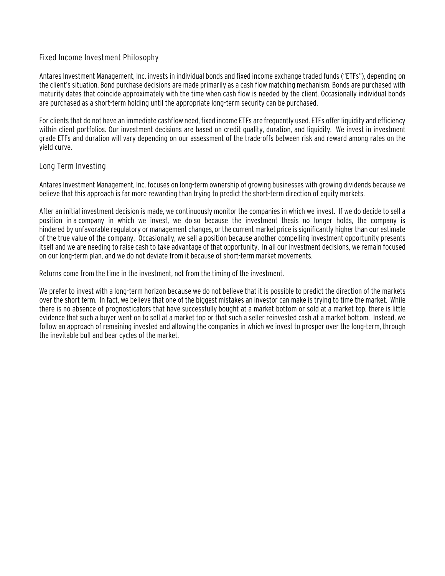#### Fixed Income Investment Philosophy

Antares Investment Management, Inc. invests in individual bonds and fixed income exchange traded funds ("ETFs"), depending on the client's situation. Bond purchase decisions are made primarily as a cash flow matching mechanism. Bonds are purchased with maturity dates that coincide approximately with the time when cash flow is needed by the client. Occasionally individual bonds are purchased as a short-term holding until the appropriate long-term security can be purchased.

For clients that do not have an immediate cashflow need, fixed income ETFs are frequently used. ETFs offer liquidity and efficiency within client portfolios. Our investment decisions are based on credit quality, duration, and liquidity. We invest in investment grade ETFs and duration will vary depending on our assessment of the trade-offs between risk and reward among rates on the yield curve.

#### Long Term Investing

Antares Investment Management, Inc. focuses on long-term ownership of growing businesses with growing dividends because we believe that this approach is far more rewarding than trying to predict the short-term direction of equity markets.

After an initial investment decision is made, we continuously monitor the companies in which we invest. If we do decide to sell a position in a company in which we invest, we do so because the investment thesis no longer holds, the company is hindered by unfavorable regulatory or management changes, or the current market price is significantly higher than our estimate of the true value of the company. Occasionally, we sell a position because another compelling investment opportunity presents itself and we are needing to raise cash to take advantage of that opportunity. In all our investment decisions, we remain focused on our long-term plan, and we do not deviate from it because of short-term market movements.

Returns come from the time in the investment, not from the timing of the investment.

We prefer to invest with a long-term horizon because we do not believe that it is possible to predict the direction of the markets over the short term. In fact, we believe that one of the biggest mistakes an investor can make is trying to time the market. While there is no absence of prognosticators that have successfully bought at a market bottom or sold at a market top, there is little evidence that such a buyer went on to sell at a market top or that such a seller reinvested cash at a market bottom. Instead, we follow an approach of remaining invested and allowing the companies in which we invest to prosper over the long-term, through the inevitable bull and bear cycles of the market.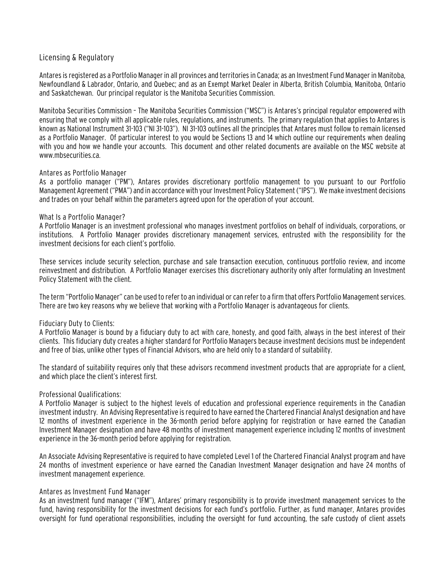### Licensing & Regulatory

Antares is registered as a Portfolio Manager in all provinces and territories in Canada; as an Investment Fund Manager in Manitoba, Newfoundland & Labrador, Ontario, and Quebec; and as an Exempt Market Dealer in Alberta, British Columbia, Manitoba, Ontario and Saskatchewan. Our principal regulator is the Manitoba Securities Commission.

Manitoba Securities Commission – The Manitoba Securities Commission ("MSC") is Antares's principal regulator empowered with ensuring that we comply with all applicable rules, regulations, and instruments. The primary regulation that applies to Antares is known as National Instrument 31-103 ("NI 31-103"). NI 31-103 outlines all the principles that Antares must follow to remain licensed as a Portfolio Manager. Of particular interest to you would be Sections 13 and 14 which outline our requirements when dealing with you and how we handle your accounts. This document and other related documents are available on the MSC website at www.mbsecurities.ca.

#### Antares as Portfolio Manager

As a portfolio manager ("PM"), Antares provides discretionary portfolio management to you pursuant to our Portfolio Management Agreement ("PMA") and in accordance with your Investment Policy Statement ("IPS"). We make investment decisions and trades on your behalf within the parameters agreed upon for the operation of your account.

#### What Is a Portfolio Manager?

A Portfolio Manager is an investment professional who manages investment portfolios on behalf of individuals, corporations, or institutions. A Portfolio Manager provides discretionary management services, entrusted with the responsibility for the investment decisions for each client's portfolio.

These services include security selection, purchase and sale transaction execution, continuous portfolio review, and income reinvestment and distribution. A Portfolio Manager exercises this discretionary authority only after formulating an Investment Policy Statement with the client.

The term "Portfolio Manager" can be used to refer to an individual or can refer to a firm that offers Portfolio Management services. There are two key reasons why we believe that working with a Portfolio Manager is advantageous for clients.

### Fiduciary Duty to Clients:

A Portfolio Manager is bound by a fiduciary duty to act with care, honesty, and good faith, always in the best interest of their clients. This fiduciary duty creates a higher standard for Portfolio Managers because investment decisions must be independent and free of bias, unlike other types of Financial Advisors, who are held only to a standard of suitability.

The standard of suitability requires only that these advisors recommend investment products that are appropriate for a client, and which place the client's interest first.

#### Professional Qualifications:

A Portfolio Manager is subject to the highest levels of education and professional experience requirements in the Canadian investment industry. An Advising Representative is required to have earned the Chartered Financial Analyst designation and have 12 months of investment experience in the 36-month period before applying for registration or have earned the Canadian Investment Manager designation and have 48 months of investment management experience including 12 months of investment experience in the 36-month period before applying for registration.

An Associate Advising Representative is required to have completed Level 1 of the Chartered Financial Analyst program and have 24 months of investment experience or have earned the Canadian Investment Manager designation and have 24 months of investment management experience.

#### Antares as Investment Fund Manager

As an investment fund manager ("IFM"), Antares' primary responsibility is to provide investment management services to the fund, having responsibility for the investment decisions for each fund's portfolio. Further, as fund manager, Antares provides oversight for fund operational responsibilities, including the oversight for fund accounting, the safe custody of client assets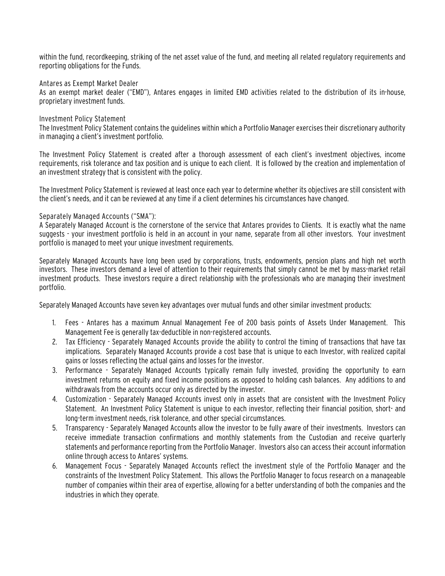within the fund, recordkeeping, striking of the net asset value of the fund, and meeting all related regulatory requirements and reporting obligations for the Funds.

#### Antares as Exempt Market Dealer

As an exempt market dealer ("EMD"), Antares engages in limited EMD activities related to the distribution of its in-house, proprietary investment funds.

#### Investment Policy Statement

The Investment Policy Statement contains the guidelines within which a Portfolio Manager exercises their discretionary authority in managing a client's investment portfolio.

The Investment Policy Statement is created after a thorough assessment of each client's investment objectives, income requirements, risk tolerance and tax position and is unique to each client. It is followed by the creation and implementation of an investment strategy that is consistent with the policy.

The Investment Policy Statement is reviewed at least once each year to determine whether its objectives are still consistent with the client's needs, and it can be reviewed at any time if a client determines his circumstances have changed.

#### Separately Managed Accounts ("SMA"):

A Separately Managed Account is the cornerstone of the service that Antares provides to Clients. It is exactly what the name suggests - your investment portfolio is held in an account in your name, separate from all other investors. Your investment portfolio is managed to meet your unique investment requirements.

Separately Managed Accounts have long been used by corporations, trusts, endowments, pension plans and high net worth investors. These investors demand a level of attention to their requirements that simply cannot be met by mass-market retail investment products. These investors require a direct relationship with the professionals who are managing their investment portfolio.

Separately Managed Accounts have seven key advantages over mutual funds and other similar investment products:

- 1. Fees Antares has a maximum Annual Management Fee of 200 basis points of Assets Under Management. This Management Fee is generally tax-deductible in non-registered accounts.
- 2. Tax Efficiency Separately Managed Accounts provide the ability to control the timing of transactions that have tax implications. Separately Managed Accounts provide a cost base that is unique to each Investor, with realized capital gains or losses reflecting the actual gains and losses for the investor.
- 3. Performance Separately Managed Accounts typically remain fully invested, providing the opportunity to earn investment returns on equity and fixed income positions as opposed to holding cash balances. Any additions to and withdrawals from the accounts occur only as directed by the investor.
- 4. Customization Separately Managed Accounts invest only in assets that are consistent with the Investment Policy Statement. An Investment Policy Statement is unique to each investor, reflecting their financial position, short- and long-term investment needs, risk tolerance, and other special circumstances.
- 5. Transparency Separately Managed Accounts allow the investor to be fully aware of their investments. Investors can receive immediate transaction confirmations and monthly statements from the Custodian and receive quarterly statements and performance reporting from the Portfolio Manager. Investors also can access their account information online through access to Antares' systems.
- 6. Management Focus Separately Managed Accounts reflect the investment style of the Portfolio Manager and the constraints of the Investment Policy Statement. This allows the Portfolio Manager to focus research on a manageable number of companies within their area of expertise, allowing for a better understanding of both the companies and the industries in which they operate.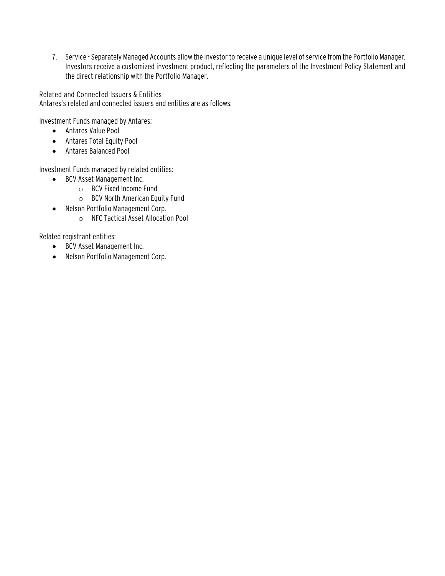7. Service - Separately Managed Accounts allow the investor to receive a unique level of service from the Portfolio Manager. Investors receive a customized investment product, reflecting the parameters of the Investment Policy Statement and the direct relationship with the Portfolio Manager.

Related and Connected Issuers & Entities Antares's related and connected issuers and entities are as follows:

Investment Funds managed by Antares:

- Antares Value Pool
- Antares Total Equity Pool
- Antares Balanced Pool

Investment Funds managed by related entities:

- BCV Asset Management Inc.
	- o BCV Fixed Income Fund
	- o BCV North American Equity Fund
- Nelson Portfolio Management Corp.
	- o NFC Tactical Asset Allocation Pool

Related registrant entities:

- BCV Asset Management Inc.
- Nelson Portfolio Management Corp.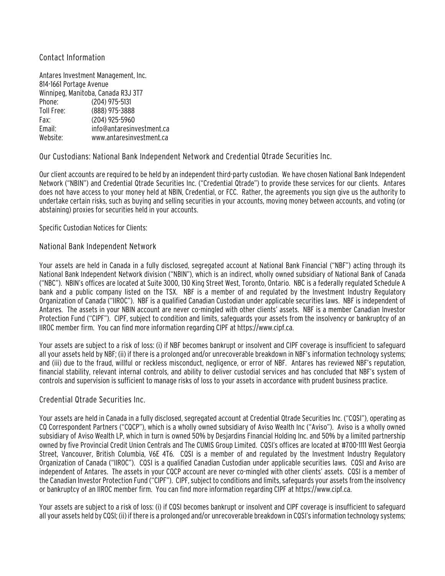#### Contact Information

Antares Investment Management, Inc. 814-1661 Portage Avenue Winnipeg, Manitoba, Canada R3J 3T7 Phone: (204) 975-5131 Toll Free: (888) 975-3888 Fax: (204) 925-5960 Email: info@antaresinvestment.ca Website: www.antaresinvestment.ca

Our Custodians: National Bank Independent Network and Credential Qtrade Securities Inc.

Our client accounts are required to be held by an independent third-party custodian. We have chosen National Bank Independent Network ("NBIN") and Credential Qtrade Securities Inc. ("Credential Qtrade") to provide these services for our clients. Antares does not have access to your money held at NBIN, Credential, or FCC. Rather, the agreements you sign give us the authority to undertake certain risks, such as buying and selling securities in your accounts, moving money between accounts, and voting (or abstaining) proxies for securities held in your accounts.

Specific Custodian Notices for Clients:

#### National Bank Independent Network

Your assets are held in Canada in a fully disclosed, segregated account at National Bank Financial ("NBF") acting through its National Bank Independent Network division ("NBIN"), which is an indirect, wholly owned subsidiary of National Bank of Canada ("NBC"). NBIN's offices are located at Suite 3000, 130 King Street West, Toronto, Ontario. NBC is a federally regulated Schedule A bank and a public company listed on the TSX. NBF is a member of and regulated by the Investment Industry Regulatory Organization of Canada ("IIROC"). NBF is a qualified Canadian Custodian under applicable securities laws. NBF is independent of Antares. The assets in your NBIN account are never co-mingled with other clients' assets. NBF is a member Canadian Investor Protection Fund ("CIPF"). CIPF, subject to condition and limits, safeguards your assets from the insolvency or bankruptcy of an IIROC member firm. You can find more information regarding CIPF at https://www.cipf.ca.

Your assets are subject to a risk of loss: (i) if NBF becomes bankrupt or insolvent and CIPF coverage is insufficient to safeguard all your assets held by NBF; (ii) if there is a prolonged and/or unrecoverable breakdown in NBF's information technology systems; and (iii) due to the fraud, willful or reckless misconduct, negligence, or error of NBF. Antares has reviewed NBF's reputation, financial stability, relevant internal controls, and ability to deliver custodial services and has concluded that NBF's system of controls and supervision is sufficient to manage risks of loss to your assets in accordance with prudent business practice.

#### Credential Qtrade Securities Inc.

Your assets are held in Canada in a fully disclosed, segregated account at Credential Qtrade Securities Inc. ("CQSI"), operating as CQ Correspondent Partners ("CQCP"), which is a wholly owned subsidiary of Aviso Wealth Inc ("Aviso"). Aviso is a wholly owned subsidiary of Aviso Wealth LP, which in turn is owned 50% by Desjardins Financial Holding Inc. and 50% by a limited partnership owned by five Provincial Credit Union Centrals and The CUMIS Group Limited. CQSI's offices are located at #700-1111 West Georgia Street, Vancouver, British Columbia, V6E 4T6. CQSI is a member of and regulated by the Investment Industry Regulatory Organization of Canada ("IIROC"). CQSI is a qualified Canadian Custodian under applicable securities laws. CQSI and Aviso are independent of Antares. The assets in your CQCP account are never co-mingled with other clients' assets. CQSI is a member of the Canadian Investor Protection Fund ("CIPF"). CIPF, subject to conditions and limits, safeguards your assets from the insolvency or bankruptcy of an IIROC member firm. You can find more information regarding CIPF at https://www.cipf.ca.

Your assets are subject to a risk of loss: (i) if CQSI becomes bankrupt or insolvent and CIPF coverage is insufficient to safeguard all your assets held by CQSI; (ii) if there is a prolonged and/or unrecoverable breakdown in CQSI's information technology systems;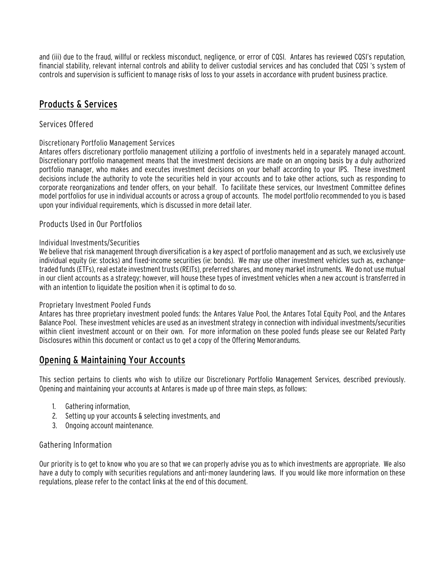and (iii) due to the fraud, willful or reckless misconduct, negligence, or error of CQSI. Antares has reviewed CQSI's reputation, financial stability, relevant internal controls and ability to deliver custodial services and has concluded that CQSI 's system of controls and supervision is sufficient to manage risks of loss to your assets in accordance with prudent business practice.

# Products & Services

### Services Offered

### Discretionary Portfolio Management Services

Antares offers discretionary portfolio management utilizing a portfolio of investments held in a separately managed account. Discretionary portfolio management means that the investment decisions are made on an ongoing basis by a duly authorized portfolio manager, who makes and executes investment decisions on your behalf according to your IPS. These investment decisions include the authority to vote the securities held in your accounts and to take other actions, such as responding to corporate reorganizations and tender offers, on your behalf. To facilitate these services, our Investment Committee defines model portfolios for use in individual accounts or across a group of accounts. The model portfolio recommended to you is based upon your individual requirements, which is discussed in more detail later.

### Products Used in Our Portfolios

#### Individual Investments/Securities

We believe that risk management through diversification is a key aspect of portfolio management and as such, we exclusively use individual equity (ie: stocks) and fixed-income securities (ie: bonds). We may use other investment vehicles such as, exchangetraded funds (ETFs), real estate investment trusts (REITs), preferred shares, and money market instruments. We do not use mutual in our client accounts as a strategy; however, will house these types of investment vehicles when a new account is transferred in with an intention to liquidate the position when it is optimal to do so.

#### Proprietary Investment Pooled Funds

Antares has three proprietary investment pooled funds: the Antares Value Pool, the Antares Total Equity Pool, and the Antares Balance Pool. These investment vehicles are used as an investment strategy in connection with individual investments/securities within client investment account or on their own. For more information on these pooled funds please see our Related Party Disclosures within this document or contact us to get a copy of the Offering Memorandums.

# Opening & Maintaining Your Accounts

This section pertains to clients who wish to utilize our Discretionary Portfolio Management Services, described previously. Opening and maintaining your accounts at Antares is made up of three main steps, as follows:

- 1. Gathering information,
- 2. Setting up your accounts & selecting investments, and
- 3. Ongoing account maintenance.

### Gathering Information

Our priority is to get to know who you are so that we can properly advise you as to which investments are appropriate. We also have a duty to comply with securities regulations and anti-money laundering laws. If you would like more information on these regulations, please refer to the contact links at the end of this document.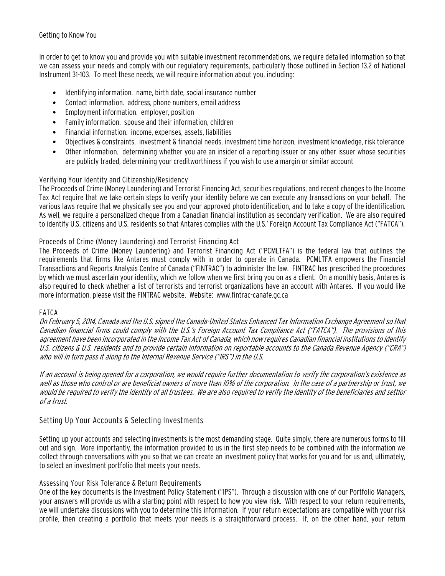#### Getting to Know You

In order to get to know you and provide you with suitable investment recommendations, we require detailed information so that we can assess your needs and comply with our regulatory requirements, particularly those outlined in Section 13.2 of National Instrument 31-103. To meet these needs, we will require information about you, including:

- Identifying information. name, birth date, social insurance number
- Contact information. address, phone numbers, email address
- Employment information. employer, position
- Family information. spouse and their information, children
- Financial information. income, expenses, assets, liabilities
- Objectives & constraints. investment & financial needs, investment time horizon, investment knowledge, risk tolerance
- Other information. determining whether you are an insider of a reporting issuer or any other issuer whose securities are publicly traded, determining your creditworthiness if you wish to use a margin or similar account

### Verifying Your Identity and Citizenship/Residency

The Proceeds of Crime (Money Laundering) and Terrorist Financing Act, securities regulations, and recent changes to the Income Tax Act require that we take certain steps to verify your identity before we can execute any transactions on your behalf. The various laws require that we physically see you and your approved photo identification, and to take a copy of the identification. As well, we require a personalized cheque from a Canadian financial institution as secondary verification. We are also required to identify U.S. citizens and U.S. residents so that Antares complies with the U.S.' Foreign Account Tax Compliance Act ("FATCA").

#### Proceeds of Crime (Money Laundering) and Terrorist Financing Act

The Proceeds of Crime (Money Laundering) and Terrorist Financing Act ("PCMLTFA") is the federal law that outlines the requirements that firms like Antares must comply with in order to operate in Canada. PCMLTFA empowers the Financial Transactions and Reports Analysis Centre of Canada ("FINTRAC") to administer the law. FINTRAC has prescribed the procedures by which we must ascertain your identity, which we follow when we first bring you on as a client. On a monthly basis, Antares is also required to check whether a list of terrorists and terrorist organizations have an account with Antares. If you would like more information, please visit the FINTRAC website. Website: www.fintrac-canafe.gc.ca

#### FATCA

On February 5, 2014, Canada and the U.S. signed the Canada-United States Enhanced Tax Information Exchange Agreement so that Canadian financial firms could comply with the U.S.'s Foreign Account Tax Compliance Act ("FATCA"). The provisions of this agreement have been incorporated in the Income Tax Act of Canada, which now requires Canadian financial institutions to identify U.S. citizens & U.S. residents and to provide certain information on reportable accounts to the Canada Revenue Agency ("CRA") who will in turn pass it along to the Internal Revenue Service ("IRS") in the U.S.

If an account is being opened for a corporation, we would require further documentation to verify the corporation's existence as well as those who control or are beneficial owners of more than 10% of the corporation. In the case of a partnership or trust, we would be required to verify the identity of all trustees. We are also required to verify the identity of the beneficiaries and settlor of a trust.

### Setting Up Your Accounts & Selecting Investments

Setting up your accounts and selecting investments is the most demanding stage. Quite simply, there are numerous forms to fill out and sign. More importantly, the information provided to us in the first step needs to be combined with the information we collect through conversations with you so that we can create an investment policy that works for you and for us and, ultimately, to select an investment portfolio that meets your needs.

#### Assessing Your Risk Tolerance & Return Requirements

One of the key documents is the Investment Policy Statement ("IPS"). Through a discussion with one of our Portfolio Managers, your answers will provide us with a starting point with respect to how you view risk. With respect to your return requirements, we will undertake discussions with you to determine this information. If your return expectations are compatible with your risk profile, then creating a portfolio that meets your needs is a straightforward process. If, on the other hand, your return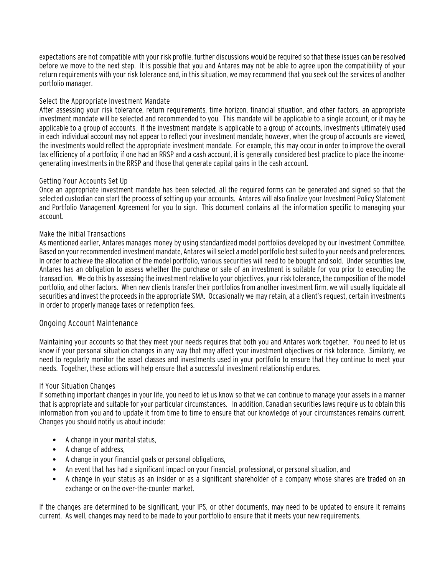expectations are not compatible with your risk profile, further discussions would be required so that these issues can be resolved before we move to the next step. It is possible that you and Antares may not be able to agree upon the compatibility of your return requirements with your risk tolerance and, in this situation, we may recommend that you seek out the services of another portfolio manager.

#### Select the Appropriate Investment Mandate

After assessing your risk tolerance, return requirements, time horizon, financial situation, and other factors, an appropriate investment mandate will be selected and recommended to you. This mandate will be applicable to a single account, or it may be applicable to a group of accounts. If the investment mandate is applicable to a group of accounts, investments ultimately used in each individual account may not appear to reflect your investment mandate; however, when the group of accounts are viewed, the investments would reflect the appropriate investment mandate. For example, this may occur in order to improve the overall tax efficiency of a portfolio; if one had an RRSP and a cash account, it is generally considered best practice to place the incomegenerating investments in the RRSP and those that generate capital gains in the cash account.

#### Getting Your Accounts Set Up

Once an appropriate investment mandate has been selected, all the required forms can be generated and signed so that the selected custodian can start the process of setting up your accounts. Antares will also finalize your Investment Policy Statement and Portfolio Management Agreement for you to sign. This document contains all the information specific to managing your account.

#### Make the Initial Transactions

As mentioned earlier, Antares manages money by using standardized model portfolios developed by our Investment Committee. Based on your recommended investment mandate, Antares will select a model portfolio best suited to your needs and preferences. In order to achieve the allocation of the model portfolio, various securities will need to be bought and sold. Under securities law, Antares has an obligation to assess whether the purchase or sale of an investment is suitable for you prior to executing the transaction. We do this by assessing the investment relative to your objectives, your risk tolerance, the composition of the model portfolio, and other factors. When new clients transfer their portfolios from another investment firm, we will usually liquidate all securities and invest the proceeds in the appropriate SMA. Occasionally we may retain, at a client's request, certain investments in order to properly manage taxes or redemption fees.

### Ongoing Account Maintenance

Maintaining your accounts so that they meet your needs requires that both you and Antares work together. You need to let us know if your personal situation changes in any way that may affect your investment objectives or risk tolerance. Similarly, we need to regularly monitor the asset classes and investments used in your portfolio to ensure that they continue to meet your needs. Together, these actions will help ensure that a successful investment relationship endures.

#### If Your Situation Changes

If something important changes in your life, you need to let us know so that we can continue to manage your assets in a manner that is appropriate and suitable for your particular circumstances. In addition, Canadian securities laws require us to obtain this information from you and to update it from time to time to ensure that our knowledge of your circumstances remains current. Changes you should notify us about include:

- A change in your marital status,
- A change of address,
- A change in your financial goals or personal obligations,
- An event that has had a significant impact on your financial, professional, or personal situation, and
- A change in your status as an insider or as a significant shareholder of a company whose shares are traded on an exchange or on the over-the-counter market.

If the changes are determined to be significant, your IPS, or other documents, may need to be updated to ensure it remains current. As well, changes may need to be made to your portfolio to ensure that it meets your new requirements.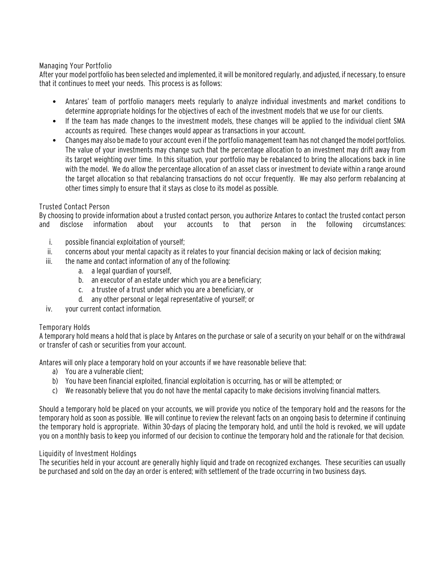#### Managing Your Portfolio

After your model portfolio has been selected and implemented, it will be monitored regularly, and adjusted, if necessary, to ensure that it continues to meet your needs. This process is as follows:

- Antares' team of portfolio managers meets regularly to analyze individual investments and market conditions to determine appropriate holdings for the objectives of each of the investment models that we use for our clients.
- If the team has made changes to the investment models, these changes will be applied to the individual client SMA accounts as required. These changes would appear as transactions in your account.
- Changes may also be made to your account even if the portfolio management team has not changed the model portfolios. The value of your investments may change such that the percentage allocation to an investment may drift away from its target weighting over time. In this situation, your portfolio may be rebalanced to bring the allocations back in line with the model. We do allow the percentage allocation of an asset class or investment to deviate within a range around the target allocation so that rebalancing transactions do not occur frequently. We may also perform rebalancing at other times simply to ensure that it stays as close to its model as possible.

#### Trusted Contact Person

By choosing to provide information about a trusted contact person, you authorize Antares to contact the trusted contact person and disclose information about your accounts to that person in the following circumstances:

- i. possible financial exploitation of yourself;
- ii. concerns about your mental capacity as it relates to your financial decision making or lack of decision making;
- iii. the name and contact information of any of the following:
	- a. a legal guardian of yourself,
	- b. an executor of an estate under which you are a beneficiary;
	- c. a trustee of a trust under which you are a beneficiary, or
	- d. any other personal or legal representative of yourself; or
- iv. your current contact information.

#### Temporary Holds

A temporary hold means a hold that is place by Antares on the purchase or sale of a security on your behalf or on the withdrawal or transfer of cash or securities from your account.

Antares will only place a temporary hold on your accounts if we have reasonable believe that:

- a) You are a vulnerable client;
- b) You have been financial exploited, financial exploitation is occurring, has or will be attempted; or
- c) We reasonably believe that you do not have the mental capacity to make decisions involving financial matters.

Should a temporary hold be placed on your accounts, we will provide you notice of the temporary hold and the reasons for the temporary hold as soon as possible. We will continue to review the relevant facts on an ongoing basis to determine if continuing the temporary hold is appropriate. Within 30-days of placing the temporary hold, and until the hold is revoked, we will update you on a monthly basis to keep you informed of our decision to continue the temporary hold and the rationale for that decision.

#### Liquidity of Investment Holdings

The securities held in your account are generally highly liquid and trade on recognized exchanges. These securities can usually be purchased and sold on the day an order is entered; with settlement of the trade occurring in two business days.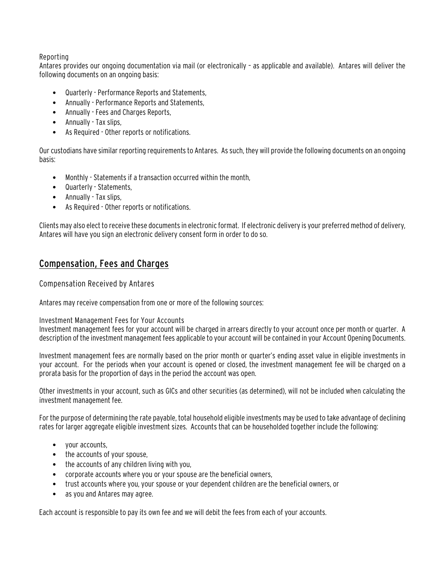#### Reporting

Antares provides our ongoing documentation via mail (or electronically – as applicable and available). Antares will deliver the following documents on an ongoing basis:

- Quarterly Performance Reports and Statements,
- Annually Performance Reports and Statements,
- Annually Fees and Charges Reports,
- Annually Tax slips,
- As Required Other reports or notifications.

Our custodians have similar reporting requirementsto Antares. As such, they will provide the following documents on an ongoing basis:

- Monthly Statements if a transaction occurred within the month,
- Quarterly Statements,
- Annually Tax slips,
- As Required Other reports or notifications.

Clients may also elect to receive these documents in electronic format. If electronic delivery is your preferred method of delivery, Antares will have you sign an electronic delivery consent form in order to do so.

# Compensation, Fees and Charges

Compensation Received by Antares

Antares may receive compensation from one or more of the following sources:

Investment Management Fees for Your Accounts

Investment management fees for your account will be charged in arrears directly to your account once per month or quarter. A description of the investment management fees applicable to your account will be contained in your Account Opening Documents.

Investment management fees are normally based on the prior month or quarter's ending asset value in eligible investments in your account. For the periods when your account is opened or closed, the investment management fee will be charged on a prorata basis for the proportion of days in the period the account was open.

Other investments in your account, such as GICs and other securities (as determined), will not be included when calculating the investment management fee.

For the purpose of determining the rate payable, total household eligible investments may be used to take advantage of declining rates for larger aggregate eligible investment sizes. Accounts that can be householded together include the following:

- your accounts,
- the accounts of your spouse,
- the accounts of any children living with you,
- corporate accounts where you or your spouse are the beneficial owners,
- trust accounts where you, your spouse or your dependent children are the beneficial owners, or
- as you and Antares may agree.

Each account is responsible to pay its own fee and we will debit the fees from each of your accounts.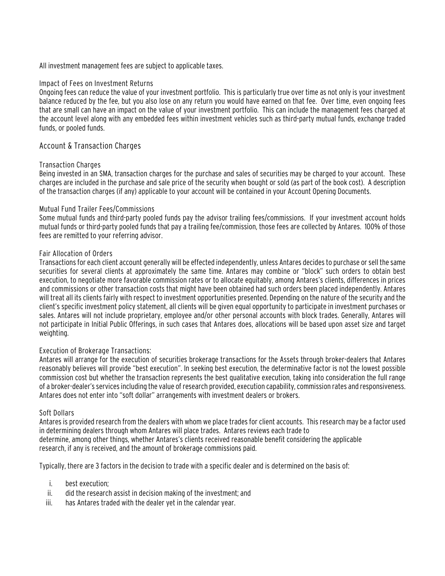All investment management fees are subject to applicable taxes.

#### Impact of Fees on Investment Returns

Ongoing fees can reduce the value of your investment portfolio. This is particularly true over time as not only is your investment balance reduced by the fee, but you also lose on any return you would have earned on that fee. Over time, even ongoing fees that are small can have an impact on the value of your investment portfolio. This can include the management fees charged at the account level along with any embedded fees within investment vehicles such as third-party mutual funds, exchange traded funds, or pooled funds.

#### Account & Transaction Charges

#### Transaction Charges

Being invested in an SMA, transaction charges for the purchase and sales of securities may be charged to your account. These charges are included in the purchase and sale price of the security when bought or sold (as part of the book cost). A description of the transaction charges (if any) applicable to your account will be contained in your Account Opening Documents.

#### Mutual Fund Trailer Fees/Commissions

Some mutual funds and third-party pooled funds pay the advisor trailing fees/commissions. If your investment account holds mutual funds or third-party pooled funds that pay a trailing fee/commission, those fees are collected by Antares. 100% of those fees are remitted to your referring advisor.

#### Fair Allocation of Orders

Transactions for each client account generally will be effected independently, unless Antares decides to purchase or sell the same securities for several clients at approximately the same time. Antares may combine or "block" such orders to obtain best execution, to negotiate more favorable commission rates or to allocate equitably, among Antares's clients, differences in prices and commissions or other transaction costs that might have been obtained had such orders been placed independently. Antares will treat all its clients fairly with respect to investment opportunities presented. Depending on the nature of the security and the client's specific investment policy statement, all clients will be given equal opportunity to participate in investment purchases or sales. Antares will not include proprietary, employee and/or other personal accounts with block trades. Generally, Antares will not participate in Initial Public Offerings, in such cases that Antares does, allocations will be based upon asset size and target weighting.

#### Execution of Brokerage Transactions:

Antares will arrange for the execution of securities brokerage transactions for the Assets through broker-dealers that Antares reasonably believes will provide "best execution". In seeking best execution, the determinative factor is not the lowest possible commission cost but whether the transaction represents the best qualitative execution, taking into consideration the full range of a broker-dealer's services including the value of research provided, execution capability, commission rates and responsiveness. Antares does not enter into "soft dollar" arrangements with investment dealers or brokers.

#### Soft Dollars

Antares is provided research from the dealers with whom we place trades for client accounts. This research may be a factor used in determining dealers through whom Antares will place trades. Antares reviews each trade to

determine, among other things, whether Antares's clients received reasonable benefit considering the applicable research, if any is received, and the amount of brokerage commissions paid.

Typically, there are 3 factors in the decision to trade with a specific dealer and is determined on the basis of:

- i. best execution;
- ii. did the research assist in decision making of the investment; and
- iii. has Antares traded with the dealer yet in the calendar year.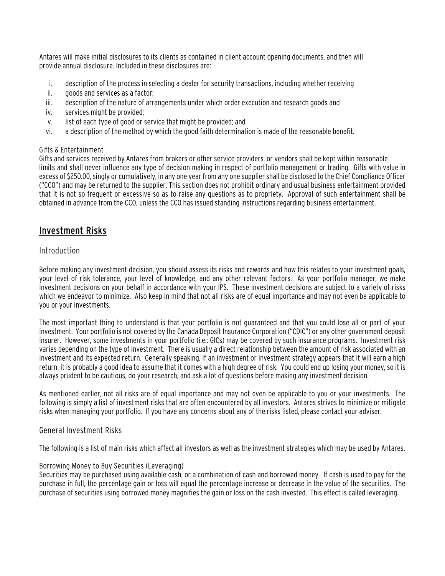Antares will make initial disclosures to its clients as contained in client account opening documents, and then will provide annual disclosure. Included in these disclosures are:

- i. description of the process in selecting a dealer for security transactions, including whether receiving
- ii. goods and services as a factor;
- iii. description of the nature of arrangements under which order execution and research goods and
- iv. services might be provided;
- v. list of each type of good or service that might be provided; and
- vi. a description of the method by which the good faith determination is made of the reasonable benefit.

### Gifts & Entertainment

Gifts and services received by Antares from brokers or other service providers, or vendors shall be kept within reasonable limits and shall never influence any type of decision making in respect of portfolio management or trading. Gifts with value in excess of \$250.00, singly or cumulatively, in any one year from any one supplier shall be disclosed to the Chief Compliance Officer ("CCO") and may be returned to the supplier. This section does not prohibit ordinary and usual business entertainment provided that it is not so frequent or excessive so as to raise any questions as to propriety. Approval of such entertainment shall be obtained in advance from the CCO, unless the CCO has issued standing instructions regarding business entertainment.

# Investment Risks

### Introduction

Before making any investment decision, you should assess its risks and rewards and how this relates to your investment goals, your level of risk tolerance, your level of knowledge, and any other relevant factors. As your portfolio manager, we make investment decisions on your behalf in accordance with your IPS. These investment decisions are subject to a variety of risks which we endeavor to minimize. Also keep in mind that not all risks are of equal importance and may not even be applicable to you or your investments.

The most important thing to understand is that your portfolio is not guaranteed and that you could lose all or part of your investment. Your portfolio is not covered by the Canada Deposit Insurance Corporation ("CDIC") or any other government deposit insurer. However, some investments in your portfolio (i.e.: GICs) may be covered by such insurance programs. Investment risk varies depending on the type of investment. There is usually a direct relationship between the amount of risk associated with an investment and its expected return. Generally speaking, if an investment or investment strategy appears that it will earn a high return, it is probably a good idea to assume that it comes with a high degree of risk. You could end up losing your money, so it is always prudent to be cautious, do your research, and ask a lot of questions before making any investment decision.

As mentioned earlier, not all risks are of equal importance and may not even be applicable to you or your investments. The following is simply a list of investment risks that are often encountered by all investors. Antares strives to minimize or mitigate risks when managing your portfolio. If you have any concerns about any of the risks listed, please contact your adviser.

### General Investment Risks

The following is a list of main risks which affect all investors as well as the investment strategies which may be used by Antares.

### Borrowing Money to Buy Securities (Leveraging)

Securities may be purchased using available cash, or a combination of cash and borrowed money. If cash is used to pay for the purchase in full, the percentage gain or loss will equal the percentage increase or decrease in the value of the securities. The purchase of securities using borrowed money magnifies the gain or loss on the cash invested. This effect is called leveraging.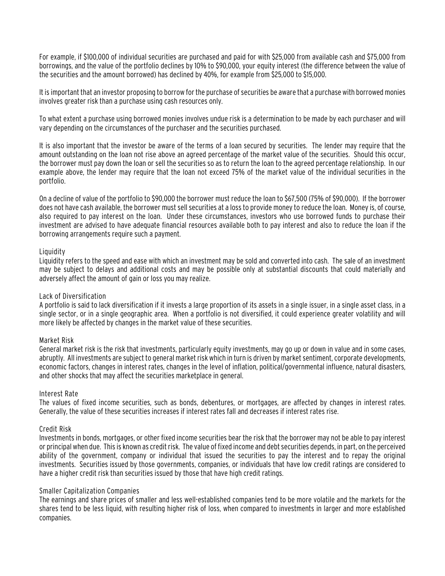For example, if \$100,000 of individual securities are purchased and paid for with \$25,000 from available cash and \$75,000 from borrowings, and the value of the portfolio declines by 10% to \$90,000, your equity interest (the difference between the value of the securities and the amount borrowed) has declined by 40%, for example from \$25,000 to \$15,000.

It is important that an investor proposing to borrow for the purchase of securities be aware that a purchase with borrowed monies involves greater risk than a purchase using cash resources only.

To what extent a purchase using borrowed monies involves undue risk is a determination to be made by each purchaser and will vary depending on the circumstances of the purchaser and the securities purchased.

It is also important that the investor be aware of the terms of a loan secured by securities. The lender may require that the amount outstanding on the loan not rise above an agreed percentage of the market value of the securities. Should this occur, the borrower must pay down the loan or sell the securities so as to return the loan to the agreed percentage relationship. In our example above, the lender may require that the loan not exceed 75% of the market value of the individual securities in the portfolio.

On a decline of value of the portfolio to \$90,000 the borrower must reduce the loan to \$67,500 (75% of \$90,000). If the borrower does not have cash available, the borrower must sell securities at a loss to provide money to reduce the loan. Money is, of course, also required to pay interest on the loan. Under these circumstances, investors who use borrowed funds to purchase their investment are advised to have adequate financial resources available both to pay interest and also to reduce the loan if the borrowing arrangements require such a payment.

#### Liquidity

Liquidity refers to the speed and ease with which an investment may be sold and converted into cash. The sale of an investment may be subject to delays and additional costs and may be possible only at substantial discounts that could materially and adversely affect the amount of gain or loss you may realize.

#### Lack of Diversification

A portfolio is said to lack diversification if it invests a large proportion of its assets in a single issuer, in a single asset class, in a single sector, or in a single geographic area. When a portfolio is not diversified, it could experience greater volatility and will more likely be affected by changes in the market value of these securities.

#### Market Risk

General market risk is the risk that investments, particularly equity investments, may go up or down in value and in some cases, abruptly. All investments are subject to general market risk which in turn is driven by market sentiment, corporate developments, economic factors, changes in interest rates, changes in the level of inflation, political/governmental influence, natural disasters, and other shocks that may affect the securities marketplace in general.

#### Interest Rate

The values of fixed income securities, such as bonds, debentures, or mortgages, are affected by changes in interest rates. Generally, the value of these securities increases if interest rates fall and decreases if interest rates rise.

#### Credit Risk

Investments in bonds, mortgages, or other fixed income securities bear the risk that the borrower may not be able to pay interest or principal when due. This is known as credit risk. The value of fixed income and debt securities depends, in part, on the perceived ability of the government, company or individual that issued the securities to pay the interest and to repay the original investments. Securities issued by those governments, companies, or individuals that have low credit ratings are considered to have a higher credit risk than securities issued by those that have high credit ratings.

#### Smaller Capitalization Companies

The earnings and share prices of smaller and less well-established companies tend to be more volatile and the markets for the shares tend to be less liquid, with resulting higher risk of loss, when compared to investments in larger and more established companies.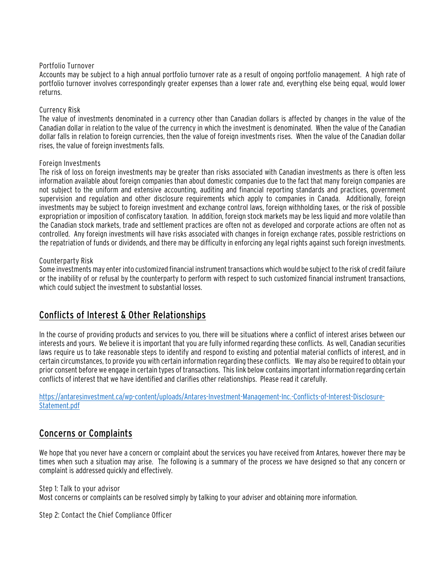#### Portfolio Turnover

Accounts may be subject to a high annual portfolio turnover rate as a result of ongoing portfolio management. A high rate of portfolio turnover involves correspondingly greater expenses than a lower rate and, everything else being equal, would lower returns.

#### Currency Risk

The value of investments denominated in a currency other than Canadian dollars is affected by changes in the value of the Canadian dollar in relation to the value of the currency in which the investment is denominated. When the value of the Canadian dollar falls in relation to foreign currencies, then the value of foreign investments rises. When the value of the Canadian dollar rises, the value of foreign investments falls.

#### Foreign Investments

The risk of loss on foreign investments may be greater than risks associated with Canadian investments as there is often less information available about foreign companies than about domestic companies due to the fact that many foreign companies are not subject to the uniform and extensive accounting, auditing and financial reporting standards and practices, government supervision and regulation and other disclosure requirements which apply to companies in Canada. Additionally, foreign investments may be subject to foreign investment and exchange control laws, foreign withholding taxes, or the risk of possible expropriation or imposition of confiscatory taxation. In addition, foreign stock markets may be less liquid and more volatile than the Canadian stock markets, trade and settlement practices are often not as developed and corporate actions are often not as controlled. Any foreign investments will have risks associated with changes in foreign exchange rates, possible restrictions on the repatriation of funds or dividends, and there may be difficulty in enforcing any legal rights against such foreign investments.

#### Counterparty Risk

Some investments may enter into customized financial instrument transactions which would be subject to the risk of credit failure or the inability of or refusal by the counterparty to perform with respect to such customized financial instrument transactions, which could subject the investment to substantial losses.

# Conflicts of Interest & Other Relationships

In the course of providing products and services to you, there will be situations where a conflict of interest arises between our interests and yours. We believe it is important that you are fully informed regarding these conflicts. As well, Canadian securities laws require us to take reasonable steps to identify and respond to existing and potential material conflicts of interest, and in certain circumstances, to provide you with certain information regarding these conflicts. We may also be required to obtain your prior consent before we engage in certain types of transactions. This link below contains important information regarding certain conflicts of interest that we have identified and clarifies other relationships. Please read it carefully.

[https://antaresinvestment.ca/wp-content/uploads/Antares-Investment-Management-Inc.-Conflicts-of-Interest-Disclosure-](https://antaresinvestment.ca/wp-content/uploads/Antares-Investment-Management-Inc.-Conflicts-of-Interest-Disclosure-Statement.pdf)[Statement.pdf](https://antaresinvestment.ca/wp-content/uploads/Antares-Investment-Management-Inc.-Conflicts-of-Interest-Disclosure-Statement.pdf)

# Concerns or Complaints

We hope that you never have a concern or complaint about the services you have received from Antares, however there may be times when such a situation may arise. The following is a summary of the process we have designed so that any concern or complaint is addressed quickly and effectively.

Step 1: Talk to your advisor

Most concerns or complaints can be resolved simply by talking to your adviser and obtaining more information.

Step 2: Contact the Chief Compliance Officer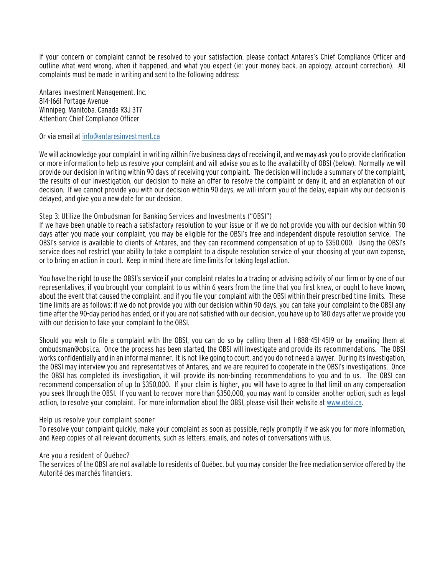If your concern or complaint cannot be resolved to your satisfaction, please contact Antares's Chief Compliance Officer and outline what went wrong, when it happened, and what you expect (ie: your money back, an apology, account correction). All complaints must be made in writing and sent to the following address:

Antares Investment Management, Inc. 814-1661 Portage Avenue Winnipeg, Manitoba, Canada R3J 3T7 Attention: Chief Compliance Officer

#### Or via email at [info@antaresinvestment.ca](mailto:info@antaresinvestment.ca)

We will acknowledge your complaint in writing within five business days of receiving it, and we may ask you to provide clarification or more information to help us resolve your complaint and will advise you as to the availability of OBSI (below). Normally we will provide our decision in writing within 90 days of receiving your complaint. The decision will include a summary of the complaint, the results of our investigation, our decision to make an offer to resolve the complaint or deny it, and an explanation of our decision. If we cannot provide you with our decision within 90 days, we will inform you of the delay, explain why our decision is delayed, and give you a new date for our decision.

#### Step 3: Utilize the Ombudsman for Banking Services and Investments ("OBSI")

If we have been unable to reach a satisfactory resolution to your issue or if we do not provide you with our decision within 90 days after you made your complaint, you may be eligible for the OBSI's free and independent dispute resolution service. The OBSI's service is available to clients of Antares, and they can recommend compensation of up to \$350,000. Using the OBSI's service does not restrict your ability to take a complaint to a dispute resolution service of your choosing at your own expense, or to bring an action in court. Keep in mind there are time limits for taking legal action.

You have the right to use the OBSI's service if your complaint relates to a trading or advising activity of our firm or by one of our representatives, if you brought your complaint to us within 6 years from the time that you first knew, or ought to have known, about the event that caused the complaint, and if you file your complaint with the OBSI within their prescribed time limits. These time limits are as follows: if we do not provide you with our decision within 90 days, you can take your complaint to the OBSI any time after the 90-day period has ended, or if you are not satisfied with our decision, you have up to 180 days after we provide you with our decision to take your complaint to the OBSI.

Should you wish to file a complaint with the OBSI, you can do so by calling them at 1-888-451-4519 or by emailing them at ombudsman@obsi.ca. Once the process has been started, the OBSI will investigate and provide its recommendations. The OBSI works confidentially and in an informal manner. It is not like going to court, and you do not need a lawyer. During its investigation, the OBSI may interview you and representatives of Antares, and we are required to cooperate in the OBSI's investigations. Once the OBSI has completed its investigation, it will provide its non-binding recommendations to you and to us. The OBSI can recommend compensation of up to \$350,000. If your claim is higher, you will have to agree to that limit on any compensation you seek through the OBSI. If you want to recover more than \$350,000, you may want to consider another option, such as legal action, to resolve your complaint. For more information about the OBSI, please visit their website a[t www.obsi.ca.](http://www.obsi.ca/)

#### Help us resolve your complaint sooner

To resolve your complaint quickly, make your complaint as soon as possible, reply promptly if we ask you for more information, and Keep copies of all relevant documents, such as letters, emails, and notes of conversations with us.

#### Are you a resident of Québec?

The services of the OBSI are not available to residents of Québec, but you may consider the free mediation service offered by the Autorité des marchés financiers.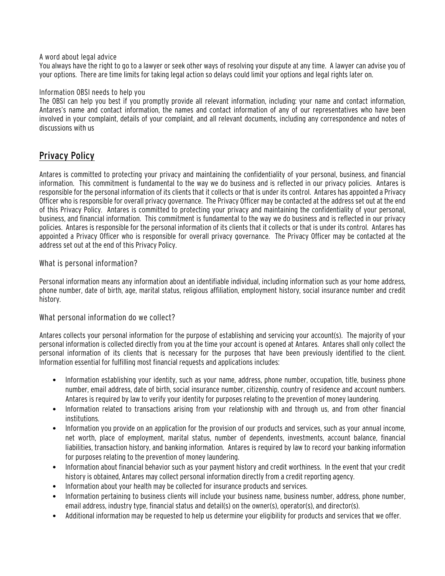#### A word about legal advice

You always have the right to go to a lawyer or seek other ways of resolving your dispute at any time. A lawyer can advise you of your options. There are time limits for taking legal action so delays could limit your options and legal rights later on.

#### Information OBSI needs to help you

The OBSI can help you best if you promptly provide all relevant information, including: your name and contact information, Antares's name and contact information, the names and contact information of any of our representatives who have been involved in your complaint, details of your complaint, and all relevant documents, including any correspondence and notes of discussions with us

# Privacy Policy

Antares is committed to protecting your privacy and maintaining the confidentiality of your personal, business, and financial information. This commitment is fundamental to the way we do business and is reflected in our privacy policies. Antares is responsible for the personal information of its clients that it collects or that is under its control. Antares has appointed a Privacy Officer who is responsible for overall privacy governance. The Privacy Officer may be contacted at the address set out at the end of this Privacy Policy. Antares is committed to protecting your privacy and maintaining the confidentiality of your personal, business, and financial information. This commitment is fundamental to the way we do business and is reflected in our privacy policies. Antares is responsible for the personal information of its clients that it collects or that is under its control. Antares has appointed a Privacy Officer who is responsible for overall privacy governance. The Privacy Officer may be contacted at the address set out at the end of this Privacy Policy.

#### What is personal information?

Personal information means any information about an identifiable individual, including information such as your home address, phone number, date of birth, age, marital status, religious affiliation, employment history, social insurance number and credit history.

#### What personal information do we collect?

Antares collects your personal information for the purpose of establishing and servicing your account(s). The majority of your personal information is collected directly from you at the time your account is opened at Antares. Antares shall only collect the personal information of its clients that is necessary for the purposes that have been previously identified to the client. Information essential for fulfilling most financial requests and applications includes:

- Information establishing your identity, such as your name, address, phone number, occupation, title, business phone number, email address, date of birth, social insurance number, citizenship, country of residence and account numbers. Antares is required by law to verify your identity for purposes relating to the prevention of money laundering.
- Information related to transactions arising from your relationship with and through us, and from other financial institutions.
- Information you provide on an application for the provision of our products and services, such as your annual income, net worth, place of employment, marital status, number of dependents, investments, account balance, financial liabilities, transaction history, and banking information. Antares is required by law to record your banking information for purposes relating to the prevention of money laundering.
- Information about financial behavior such as your payment history and credit worthiness. In the event that your credit history is obtained, Antares may collect personal information directly from a credit reporting agency.
- Information about your health may be collected for insurance products and services.
- Information pertaining to business clients will include your business name, business number, address, phone number, email address, industry type, financial status and detail(s) on the owner(s), operator(s), and director(s).
- Additional information may be requested to help us determine your eligibility for products and services that we offer.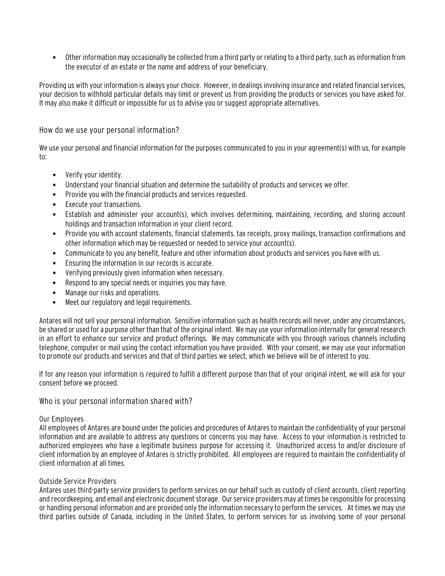• Other information may occasionally be collected from a third party or relating to a third party, such as information from the executor of an estate or the name and address of your beneficiary.

Providing us with your information is always your choice. However, in dealings involving insurance and related financial services, your decision to withhold particular details may limit or prevent us from providing the products or services you have asked for. It may also make it difficult or impossible for us to advise you or suggest appropriate alternatives.

How do we use your personal information?

We use your personal and financial information for the purposes communicated to you in your agreement(s) with us, for example to:

- Verify your identity.
- Understand your financial situation and determine the suitability of products and services we offer.
- Provide you with the financial products and services requested.
- Execute your transactions.
- Establish and administer your account(s), which involves determining, maintaining, recording, and storing account holdings and transaction information in your client record.
- Provide you with account statements, financial statements, tax receipts, proxy mailings, transaction confirmations and other information which may be requested or needed to service your account(s).
- Communicate to you any benefit, feature and other information about products and services you have with us.
- Ensuring the information in our records is accurate.
- Verifying previously given information when necessary.
- Respond to any special needs or inquiries you may have.
- Manage our risks and operations.
- Meet our regulatory and legal requirements.

Antares will not sell your personal information. Sensitive information such as health records will never, under any circumstances, be shared or used for a purpose other than that of the original intent. We may use your information internally for general research in an effort to enhance our service and product offerings. We may communicate with you through various channels including telephone, computer or mail using the contact information you have provided. With your consent, we may use your information to promote our products and services and that of third parties we select, which we believe will be of interest to you.

If for any reason your information is required to fulfill a different purpose than that of your original intent, we will ask for your consent before we proceed.

#### Who is your personal information shared with?

#### Our Employees

All employees of Antares are bound under the policies and procedures of Antares to maintain the confidentiality of your personal information and are available to address any questions or concerns you may have. Access to your information is restricted to authorized employees who have a legitimate business purpose for accessing it. Unauthorized access to and/or disclosure of client information by an employee of Antares is strictly prohibited. All employees are required to maintain the confidentiality of client information at all times.

#### Outside Service Providers

Antares uses third-party service providers to perform services on our behalf such as custody of client accounts, client reporting and recordkeeping, and email and electronic document storage. Our service providers may at times be responsible for processing or handling personal information and are provided only the information necessary to perform the services. At times we may use third parties outside of Canada, including in the United States, to perform services for us involving some of your personal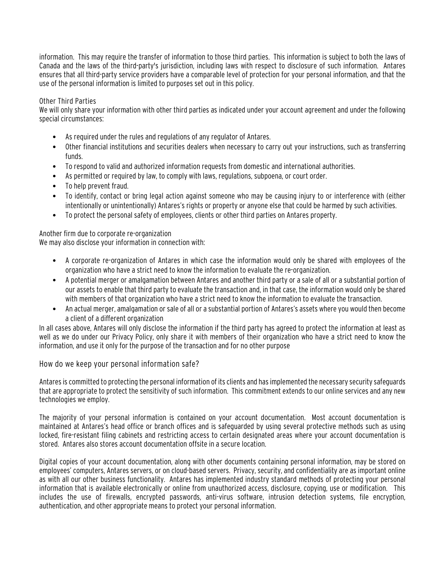information. This may require the transfer of information to those third parties. This information is subject to both the laws of Canada and the laws of the third-party's jurisdiction, including laws with respect to disclosure of such information. Antares ensures that all third-party service providers have a comparable level of protection for your personal information, and that the use of the personal information is limited to purposes set out in this policy.

#### Other Third Parties

We will only share your information with other third parties as indicated under your account agreement and under the following special circumstances:

- As required under the rules and regulations of any regulator of Antares.
- Other financial institutions and securities dealers when necessary to carry out your instructions, such as transferring funds.
- To respond to valid and authorized information requests from domestic and international authorities.
- As permitted or required by law, to comply with laws, regulations, subpoena, or court order.
- To help prevent fraud.
- To identify, contact or bring legal action against someone who may be causing injury to or interference with (either intentionally or unintentionally) Antares's rights or property or anyone else that could be harmed by such activities.
- To protect the personal safety of employees, clients or other third parties on Antares property.

Another firm due to corporate re-organization We may also disclose your information in connection with:

- A corporate re-organization of Antares in which case the information would only be shared with employees of the organization who have a strict need to know the information to evaluate the re-organization.
- A potential merger or amalgamation between Antares and another third party or a sale of all or a substantial portion of our assets to enable that third party to evaluate the transaction and, in that case, the information would only be shared with members of that organization who have a strict need to know the information to evaluate the transaction.
- An actual merger, amalgamation or sale of all or a substantial portion of Antares's assets where you would then become a client of a different organization

In all cases above, Antares will only disclose the information if the third party has agreed to protect the information at least as well as we do under our Privacy Policy, only share it with members of their organization who have a strict need to know the information, and use it only for the purpose of the transaction and for no other purpose

How do we keep your personal information safe?

Antares is committed to protecting the personal information of its clients and has implemented the necessary security safeguards that are appropriate to protect the sensitivity of such information. This commitment extends to our online services and any new technologies we employ.

The majority of your personal information is contained on your account documentation. Most account documentation is maintained at Antares's head office or branch offices and is safeguarded by using several protective methods such as using locked, fire-resistant filing cabinets and restricting access to certain designated areas where your account documentation is stored. Antares also stores account documentation offsite in a secure location.

Digital copies of your account documentation, along with other documents containing personal information, may be stored on employees' computers, Antares servers, or on cloud-based servers. Privacy, security, and confidentiality are as important online as with all our other business functionality. Antares has implemented industry standard methods of protecting your personal information that is available electronically or online from unauthorized access, disclosure, copying, use or modification. This includes the use of firewalls, encrypted passwords, anti-virus software, intrusion detection systems, file encryption, authentication, and other appropriate means to protect your personal information.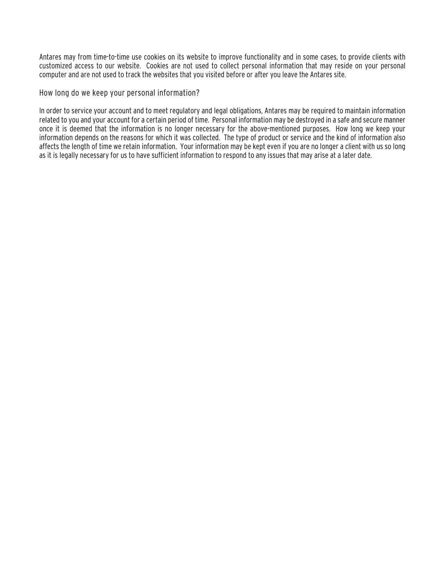Antares may from time-to-time use cookies on its website to improve functionality and in some cases, to provide clients with customized access to our website. Cookies are not used to collect personal information that may reside on your personal computer and are not used to track the websites that you visited before or after you leave the Antares site.

How long do we keep your personal information?

In order to service your account and to meet regulatory and legal obligations, Antares may be required to maintain information related to you and your account for a certain period of time. Personal information may be destroyed in a safe and secure manner once it is deemed that the information is no longer necessary for the above-mentioned purposes. How long we keep your information depends on the reasons for which it was collected. The type of product or service and the kind of information also affects the length of time we retain information. Your information may be kept even if you are no longer a client with us so long as it is legally necessary for us to have sufficient information to respond to any issues that may arise at a later date.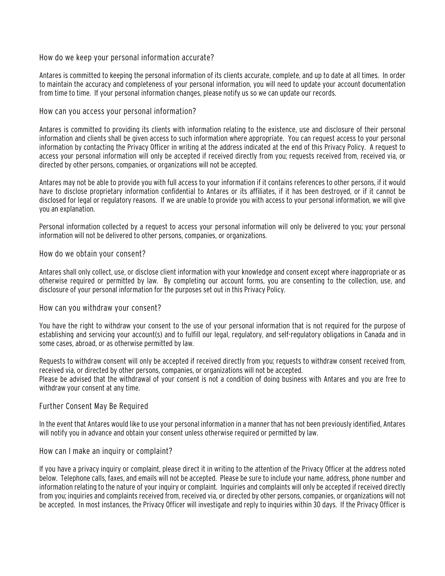#### How do we keep your personal information accurate?

Antares is committed to keeping the personal information of its clients accurate, complete, and up to date at all times. In order to maintain the accuracy and completeness of your personal information, you will need to update your account documentation from time to time. If your personal information changes, please notify us so we can update our records.

#### How can you access your personal information?

Antares is committed to providing its clients with information relating to the existence, use and disclosure of their personal information and clients shall be given access to such information where appropriate. You can request access to your personal information by contacting the Privacy Officer in writing at the address indicated at the end of this Privacy Policy. A request to access your personal information will only be accepted if received directly from you; requests received from, received via, or directed by other persons, companies, or organizations will not be accepted.

Antares may not be able to provide you with full access to your information if it contains references to other persons, if it would have to disclose proprietary information confidential to Antares or its affiliates, if it has been destroyed, or if it cannot be disclosed for legal or regulatory reasons. If we are unable to provide you with access to your personal information, we will give you an explanation.

Personal information collected by a request to access your personal information will only be delivered to you; your personal information will not be delivered to other persons, companies, or organizations.

#### How do we obtain your consent?

Antares shall only collect, use, or disclose client information with your knowledge and consent except where inappropriate or as otherwise required or permitted by law. By completing our account forms, you are consenting to the collection, use, and disclosure of your personal information for the purposes set out in this Privacy Policy.

#### How can you withdraw your consent?

You have the right to withdraw your consent to the use of your personal information that is not required for the purpose of establishing and servicing your account(s) and to fulfill our legal, regulatory, and self-regulatory obligations in Canada and in some cases, abroad, or as otherwise permitted by law.

Requests to withdraw consent will only be accepted if received directly from you; requests to withdraw consent received from, received via, or directed by other persons, companies, or organizations will not be accepted. Please be advised that the withdrawal of your consent is not a condition of doing business with Antares and you are free to withdraw your consent at any time.

#### Further Consent May Be Required

In the event that Antares would like to use your personal information in a manner that has not been previously identified, Antares will notify you in advance and obtain your consent unless otherwise required or permitted by law.

#### How can I make an inquiry or complaint?

If you have a privacy inquiry or complaint, please direct it in writing to the attention of the Privacy Officer at the address noted below. Telephone calls, faxes, and emails will not be accepted. Please be sure to include your name, address, phone number and information relating to the nature of your inquiry or complaint. Inquiries and complaints will only be accepted if received directly from you; inquiries and complaints received from, received via, or directed by other persons, companies, or organizations will not be accepted. In most instances, the Privacy Officer will investigate and reply to inquiries within 30 days. If the Privacy Officer is